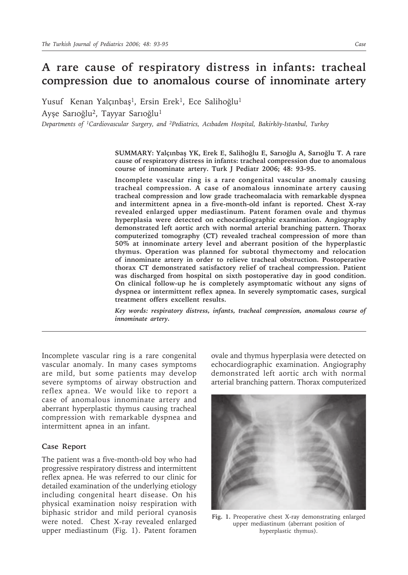## **A rare cause of respiratory distress in infants: tracheal compression due to anomalous course of innominate artery**

Yusuf Kenan Yalçınbaş<sup>1</sup>, Ersin Erek<sup>1</sup>, Ece Salihoğlu<sup>1</sup> Ayşe Sarıoğlu<sup>2</sup>, Tayyar Sarıoğlu<sup>1</sup>

*Departments of 1Cardiovascular Surgery, and 2Pediatrics, Acıbadem Hospital, Bakirköy-Istanbul, Turkey*

**SUMMARY: Yalçınbaş YK, Erek E, Salihoğlu E, Sarıoğlu A, Sarıoğlu T. A rare cause of respiratory distress in infants: tracheal compression due to anomalous course of innominate artery. Turk J Pediatr 2006; 48: 93-95.**

**Incomplete vascular ring is a rare congenital vascular anomaly causing tracheal compression. A case of anomalous innominate artery causing tracheal compression and low grade tracheomalacia with remarkable dyspnea and intermittent apnea in a five-month-old infant is reported. Chest X-ray revealed enlarged upper mediastinum. Patent foramen ovale and thymus hyperplasia were detected on echocardiographic examination. Angiography demonstrated left aortic arch with normal arterial branching pattern. Thorax computerized tomography (CT) revealed tracheal compression of more than 50% at innominate artery level and aberrant position of the hyperplastic thymus. Operation was planned for subtotal thymectomy and relocation of innominate artery in order to relieve tracheal obstruction. Postoperative thorax CT demonstrated satisfactory relief of tracheal compression. Patient was discharged from hospital on sixth postoperative day in good condition. On clinical follow-up he is completely asymptomatic without any signs of dyspnea or intermittent reflex apnea. In severely symptomatic cases, surgical treatment offers excellent results.**

*Key words: respiratory distress, infants, tracheal compression, anomalous course of innominate artery.*

Incomplete vascular ring is a rare congenital vascular anomaly. In many cases symptoms are mild, but some patients may develop severe symptoms of airway obstruction and reflex apnea. We would like to report a case of anomalous innominate artery and aberrant hyperplastic thymus causing tracheal compression with remarkable dyspnea and intermittent apnea in an infant.

## **Case Report**

The patient was a five-month-old boy who had progressive respiratory distress and intermittent reflex apnea. He was referred to our clinic for detailed examination of the underlying etiology including congenital heart disease. On his physical examination noisy respiration with biphasic stridor and mild perioral cyanosis were noted. Chest X-ray revealed enlarged upper mediastinum (Fig. 1). Patent foramen

ovale and thymus hyperplasia were detected on echocardiographic examination. Angiography demonstrated left aortic arch with normal arterial branching pattern. Thorax computerized



**Fig. 1.** Preoperative chest X-ray demonstrating enlarged upper mediastinum (aberrant position of hyperplastic thymus).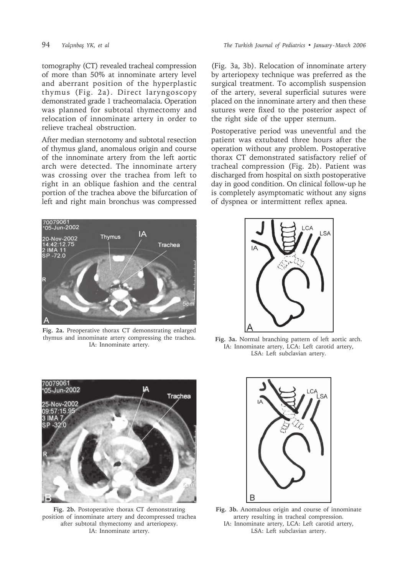tomography (CT) revealed tracheal compression of more than 50% at innominate artery level and aberrant position of the hyperplastic thymus (Fig. 2a). Direct laryngoscopy demonstrated grade 1 tracheomalacia. Operation was planned for subtotal thymectomy and relocation of innominate artery in order to relieve tracheal obstruction.

After median sternotomy and subtotal resection of thymus gland, anomalous origin and course of the innominate artery from the left aortic arch were detected. The innominate artery was crossing over the trachea from left to right in an oblique fashion and the central portion of the trachea above the bifurcation of left and right main bronchus was compressed



**Fig. 2a.** Preoperative thorax CT demonstrating enlarged thymus and innominate artery compressing the trachea. IA: Innominate artery.

(Fig. 3a, 3b). Relocation of innominate artery by arteriopexy technique was preferred as the surgical treatment. To accomplish suspension of the artery, several superficial sutures were placed on the innominate artery and then these sutures were fixed to the posterior aspect of the right side of the upper sternum.

Postoperative period was uneventful and the patient was extubated three hours after the operation without any problem. Postoperative thorax CT demonstrated satisfactory relief of tracheal compression (Fig. 2b). Patient was discharged from hospital on sixth postoperative day in good condition. On clinical follow-up he is completely asymptomatic without any signs of dyspnea or intermittent reflex apnea.



**Fig. 3a.** Normal branching pattern of left aortic arch. IA: Innominate artery, LCA: Left carotid artery, LSA: Left subclavian artery.



**Fig. 2b.** Postoperative thorax CT demonstrating position of innominate artery and decompressed trachea after subtotal thymectomy and arteriopexy. IA: Innominate artery.



**Fig. 3b.** Anomalous origin and course of innominate artery resulting in tracheal compression. IA: Innominate artery, LCA: Left carotid artery, LSA: Left subclavian artery.